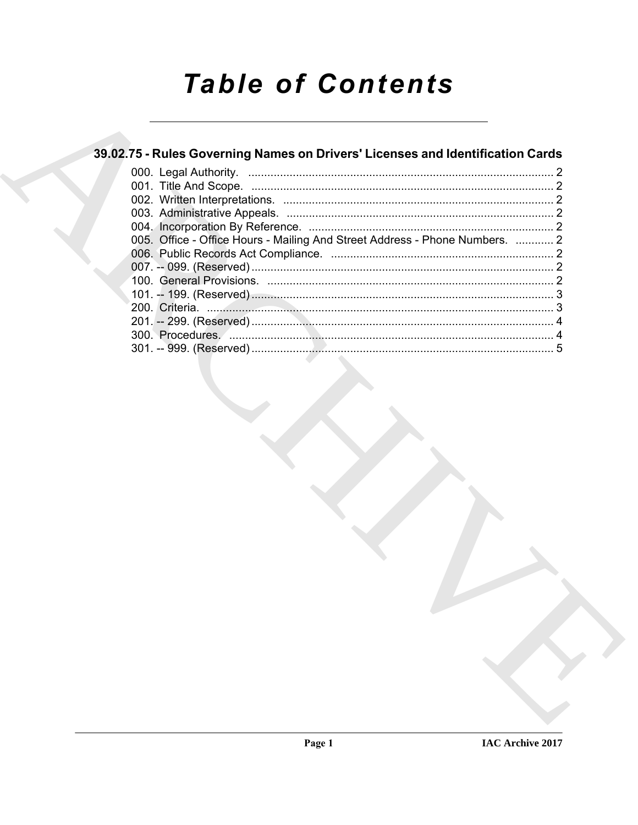# **Table of Contents**

## 39.02.75 - Rules Governing Names on Drivers' Licenses and Identification Cards

| 005. Office - Office Hours - Mailing And Street Address - Phone Numbers.  2 |  |
|-----------------------------------------------------------------------------|--|
|                                                                             |  |
|                                                                             |  |
|                                                                             |  |
|                                                                             |  |
|                                                                             |  |
|                                                                             |  |
|                                                                             |  |
|                                                                             |  |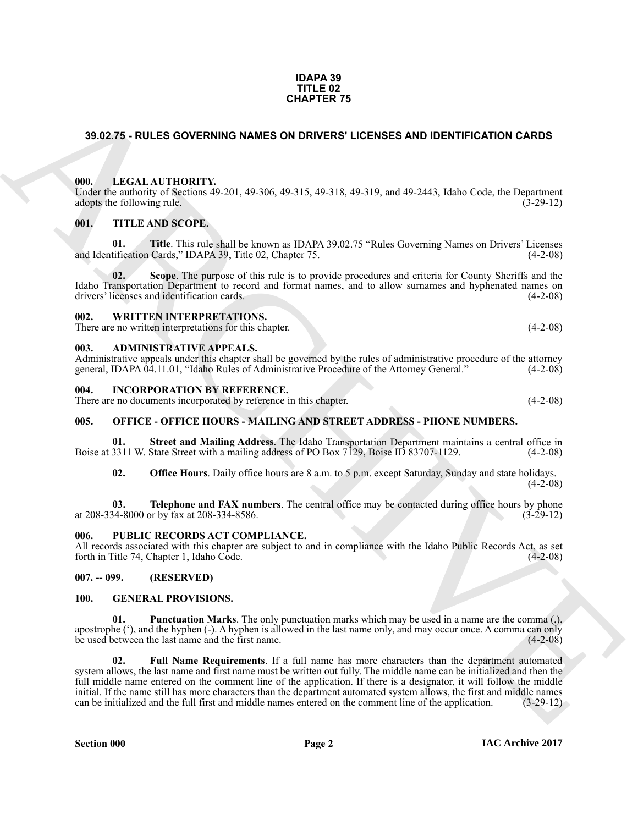#### **IDAPA 39 TITLE 02 CHAPTER 75**

#### <span id="page-1-0"></span>**39.02.75 - RULES GOVERNING NAMES ON DRIVERS' LICENSES AND IDENTIFICATION CARDS**

#### <span id="page-1-1"></span>**000. LEGAL AUTHORITY.**

Under the authority of Sections 49-201, 49-306, 49-315, 49-318, 49-319, and 49-2443, Idaho Code, the Department adopts the following rule. (3-29-12)

#### <span id="page-1-2"></span>**001. TITLE AND SCOPE.**

**01. Title**. This rule shall be known as IDAPA 39.02.75 "Rules Governing Names on Drivers' Licenses tification Cards." IDAPA 39. Title 02. Chapter 75. (4-2-08) and Identification Cards," IDAPA 39, Title 02, Chapter 75.

**02. Scope**. The purpose of this rule is to provide procedures and criteria for County Sheriffs and the Idaho Transportation Department to record and format names, and to allow surnames and hyphenated names on drivers' licenses and identification cards. (4-2-08) drivers' licenses and identification cards.

#### <span id="page-1-20"></span><span id="page-1-3"></span>**002. WRITTEN INTERPRETATIONS.**

There are no written interpretations for this chapter. (4-2-08)

#### <span id="page-1-10"></span><span id="page-1-4"></span>**003. ADMINISTRATIVE APPEALS.**

Administrative appeals under this chapter shall be governed by the rules of administrative procedure of the attorney general, IDAPA 04.11.01, "Idaho Rules of Administrative Procedure of the Attorney General." (4-2-08) general, IDAPA 04.11.01, "Idaho Rules of Administrative Procedure of the Attorney General."

#### <span id="page-1-14"></span><span id="page-1-5"></span>**004. INCORPORATION BY REFERENCE.**

There are no documents incorporated by reference in this chapter. (4-2-08)

#### <span id="page-1-15"></span><span id="page-1-6"></span>**005. OFFICE - OFFICE HOURS - MAILING AND STREET ADDRESS - PHONE NUMBERS.**

**01.** Street and Mailing Address. The Idaho Transportation Department maintains a central office in 3311 W. State Street with a mailing address of PO Box 7129, Boise ID 83707-1129. (4-2-08) Boise at 3311 W. State Street with a mailing address of PO Box 7129, Boise ID 83707-1129.

<span id="page-1-19"></span><span id="page-1-18"></span><span id="page-1-16"></span>**02. Office Hours**. Daily office hours are 8 a.m. to 5 p.m. except Saturday, Sunday and state holidays.

 $(4-2-08)$ 

**03. Telephone and FAX numbers**. The central office may be contacted during office hours by phone 34-8000 or by fax at 208-334-8586. at 208-334-8000 or by fax at 208-334-8586.

#### <span id="page-1-17"></span><span id="page-1-7"></span>**006. PUBLIC RECORDS ACT COMPLIANCE.**

All records associated with this chapter are subject to and in compliance with the Idaho Public Records Act, as set forth in Title 74, Chapter 1, Idaho Code. (4-2-08)

#### <span id="page-1-8"></span>**007. -- 099. (RESERVED)**

#### <span id="page-1-13"></span><span id="page-1-11"></span><span id="page-1-9"></span>**100. GENERAL PROVISIONS.**

<span id="page-1-12"></span>**01. Punctuation Marks**. The only punctuation marks which may be used in a name are the comma (,), apostrophe ( $\cdot$ ), and the hyphen ( $\cdot$ ). A hyphen is allowed in the last name only, and may occur once. A comma can only be used between the last name and the first name. be used between the last name and the first name.

**39.02.75 - RULES OOVERINNO NAMES ON DRIVER'S 15<br>
199.02.75 - RULES OOVERINNO NAMES ON DRIVER'S LOTDER 400 DENTIFICATION CARDS<br>
(10)**  $\frac{1}{2}$  **LOTDER The Theoretical CARD (10)**  $\frac{1}{2}$  **CARD (10)**  $\frac{1}{2}$  **CARD (10) \frac{1 02. Full Name Requirements**. If a full name has more characters than the department automated system allows, the last name and first name must be written out fully. The middle name can be initialized and then the full middle name entered on the comment line of the application. If there is a designator, it will follow the middle initial. If the name still has more characters than the department automated system allows, the first and middle names can be initialized and the full first and middle names entered on the comment line of the application. (3-29-12)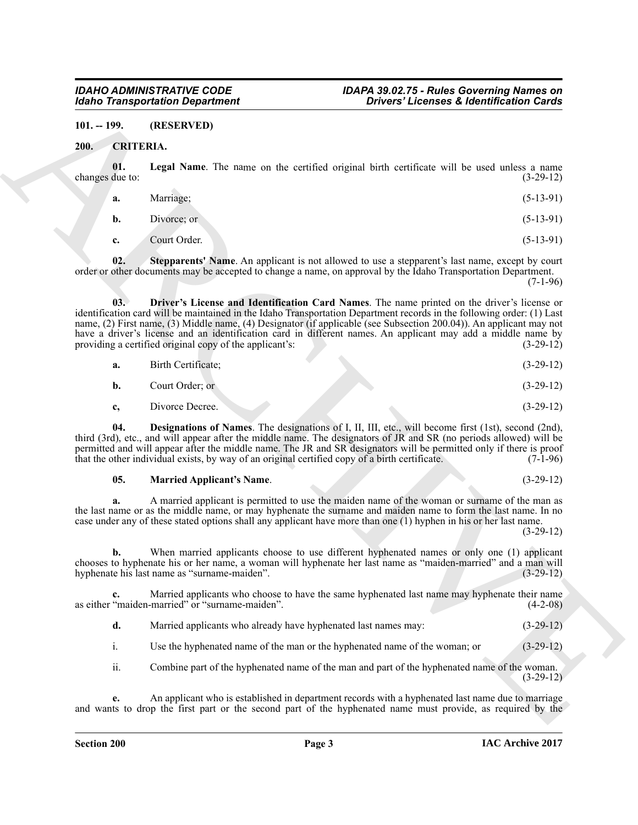#### <span id="page-2-2"></span><span id="page-2-0"></span>**101. -- 199. (RESERVED)**

#### <span id="page-2-1"></span>**200. CRITERIA.**

**01. Legal Name**. The name on the certified original birth certificate will be used unless a name changes due to:  $(3-29-12)$ 

<span id="page-2-5"></span>

| a. | Marriage;                             | $(5-13-91)$                                                       |
|----|---------------------------------------|-------------------------------------------------------------------|
| b. | Divorce; or                           | $(5-13-91)$                                                       |
|    | $\sim$ $\sim$ $\sim$ $\sim$<br>$\sim$ | $\mathcal{L} = \mathcal{L} \times \mathcal{L} \times \mathcal{L}$ |

<span id="page-2-7"></span><span id="page-2-4"></span>**c.** Court Order. (5-13-91)

**02. Stepparents' Name**. An applicant is not allowed to use a stepparent's last name, except by court order or other documents may be accepted to change a name, on approval by the Idaho Transportation Department. (7-1-96)

Globe Transportation Department<br>
20. (ARCHIVES)<br>
20. (ARCHIVES)<br>
20. (ARCHIVES)<br>
20. (ARCHIVES)<br>
20. (ARCHIVES)<br>
20. (ARCHIVES)<br>
20. (ARCHIVES)<br>
20. (ARCHIVES)<br>
20. (ARCHIVES)<br>
20. (ARCHIVES)<br>
20. (ARCHIVES)<br>
20. (ARCHIVE **03. Driver's License and Identification Card Names**. The name printed on the driver's license or identification card will be maintained in the Idaho Transportation Department records in the following order: (1) Last name, (2) First name, (3) Middle name, (4) Designator (if applicable (see Subsection 200.04)). An applicant may not have a driver's license and an identification card in different names. An applicant may add a middle name by providing a certified original copy of the applicant's: providing a certified original copy of the applicant's:

|  | Birth Certificate; |  | $(3-29-12)$ |
|--|--------------------|--|-------------|
|--|--------------------|--|-------------|

**b.** Court Order; or (3-29-12)

<span id="page-2-3"></span>**c,** Divorce Decree. (3-29-12)

**04. Designations of Names**. The designations of I, II, III, etc., will become first (1st), second (2nd), third (3rd), etc., and will appear after the middle name. The designators of JR and SR (no periods allowed) will be permitted and will appear after the middle name. The JR and SR designators will be permitted only if there is proof that the other individual exists, by way of an original certified copy of a birth certificate. (7-1-96) that the other individual exists, by way of an original certified copy of a birth certificate.

#### <span id="page-2-6"></span>**05. Married Applicant's Name**. (3-29-12)

**a.** A married applicant is permitted to use the maiden name of the woman or surname of the man as the last name or as the middle name, or may hyphenate the surname and maiden name to form the last name. In no case under any of these stated options shall any applicant have more than one (1) hyphen in his or her last name.

(3-29-12)

**b.** When married applicants choose to use different hyphenated names or only one (1) applicant chooses to hyphenate his or her name, a woman will hyphenate her last name as "maiden-married" and a man will hyphenate his last name as "surname-maiden".

**c.** Married applicants who choose to have the same hyphenated last name may hyphenate their name "maiden-married" or "surname-maiden". (4-2-08) as either "maiden-married" or "surname-maiden".

**d.** Married applicants who already have hyphenated last names may: (3-29-12)

i. Use the hyphenated name of the man or the hyphenated name of the woman; or (3-29-12)

ii. Combine part of the hyphenated name of the man and part of the hyphenated name of the woman. (3-29-12)

**e.** An applicant who is established in department records with a hyphenated last name due to marriage and wants to drop the first part or the second part of the hyphenated name must provide, as required by the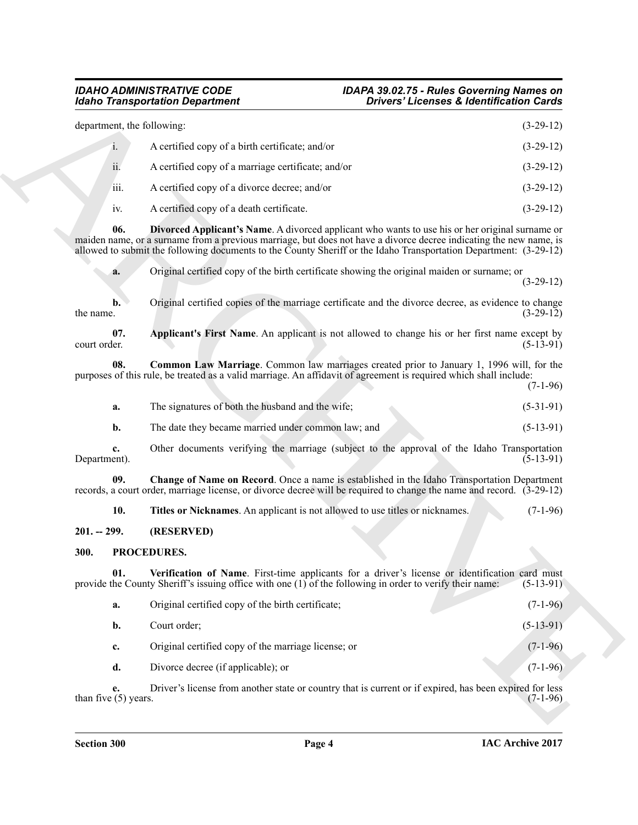## <span id="page-3-8"></span><span id="page-3-7"></span><span id="page-3-6"></span><span id="page-3-5"></span><span id="page-3-4"></span><span id="page-3-3"></span><span id="page-3-2"></span>*IDAHO ADMINISTRATIVE CODE IDAPA 39.02.75 - Rules Governing Names on*

<span id="page-3-1"></span><span id="page-3-0"></span>

|                              | <b>Idaho Transportation Department</b>                                                                                                                                                                                                                                                                                                            | <b>Drivers' Licenses &amp; Identification Cards</b> |
|------------------------------|---------------------------------------------------------------------------------------------------------------------------------------------------------------------------------------------------------------------------------------------------------------------------------------------------------------------------------------------------|-----------------------------------------------------|
| department, the following:   |                                                                                                                                                                                                                                                                                                                                                   | $(3-29-12)$                                         |
| 1.                           | A certified copy of a birth certificate; and/or                                                                                                                                                                                                                                                                                                   | $(3-29-12)$                                         |
| ii.                          | A certified copy of a marriage certificate; and/or                                                                                                                                                                                                                                                                                                | $(3-29-12)$                                         |
| iii.                         | A certified copy of a divorce decree; and/or                                                                                                                                                                                                                                                                                                      | $(3-29-12)$                                         |
| iv.                          | A certified copy of a death certificate.                                                                                                                                                                                                                                                                                                          | $(3-29-12)$                                         |
| 06.                          | <b>Divorced Applicant's Name.</b> A divorced applicant who wants to use his or her original surname or<br>maiden name, or a surname from a previous marriage, but does not have a divorce decree indicating the new name, is<br>allowed to submit the following documents to the County Sheriff or the Idaho Transportation Department: (3-29-12) |                                                     |
| a.                           | Original certified copy of the birth certificate showing the original maiden or surname; or                                                                                                                                                                                                                                                       | $(3-29-12)$                                         |
| $\mathbf{b}$ .<br>the name.  | Original certified copies of the marriage certificate and the divorce decree, as evidence to change                                                                                                                                                                                                                                               | $(3-29-12)$                                         |
| 07.<br>court order.          | Applicant's First Name. An applicant is not allowed to change his or her first name except by                                                                                                                                                                                                                                                     | $(5-13-91)$                                         |
| 08.                          | <b>Common Law Marriage</b> . Common law marriages created prior to January 1, 1996 will, for the<br>purposes of this rule, be treated as a valid marriage. An affidavit of agreement is required which shall include:                                                                                                                             | $(7-1-96)$                                          |
| a.                           | The signatures of both the husband and the wife;                                                                                                                                                                                                                                                                                                  | $(5-31-91)$                                         |
| b.                           | The date they became married under common law; and                                                                                                                                                                                                                                                                                                | $(5-13-91)$                                         |
| c.<br>Department).           | Other documents verifying the marriage (subject to the approval of the Idaho Transportation                                                                                                                                                                                                                                                       | $(5-13-91)$                                         |
| 09.                          | Change of Name on Record. Once a name is established in the Idaho Transportation Department<br>records, a court order, marriage license, or divorce decree will be required to change the name and record. (3-29-12)                                                                                                                              |                                                     |
| 10.                          | Titles or Nicknames. An applicant is not allowed to use titles or nicknames.                                                                                                                                                                                                                                                                      | $(7-1-96)$                                          |
| $201. - 299.$                | (RESERVED)                                                                                                                                                                                                                                                                                                                                        |                                                     |
| <b>300.</b>                  | PROCEDURES.                                                                                                                                                                                                                                                                                                                                       |                                                     |
| 01.                          | Verification of Name. First-time applicants for a driver's license or identification card must<br>provide the County Sheriff's issuing office with one (1) of the following in order to verify their name:                                                                                                                                        | $(5-13-91)$                                         |
| a.                           | Original certified copy of the birth certificate;                                                                                                                                                                                                                                                                                                 | $(7-1-96)$                                          |
| b.                           | Court order;                                                                                                                                                                                                                                                                                                                                      | $(5-13-91)$                                         |
| c.                           | Original certified copy of the marriage license; or                                                                                                                                                                                                                                                                                               | $(7-1-96)$                                          |
| d.                           | Divorce decree (if applicable); or                                                                                                                                                                                                                                                                                                                | $(7-1-96)$                                          |
| e.<br>than five $(5)$ years. | Driver's license from another state or country that is current or if expired, has been expired for less                                                                                                                                                                                                                                           | $(7-1-96)$                                          |
|                              |                                                                                                                                                                                                                                                                                                                                                   |                                                     |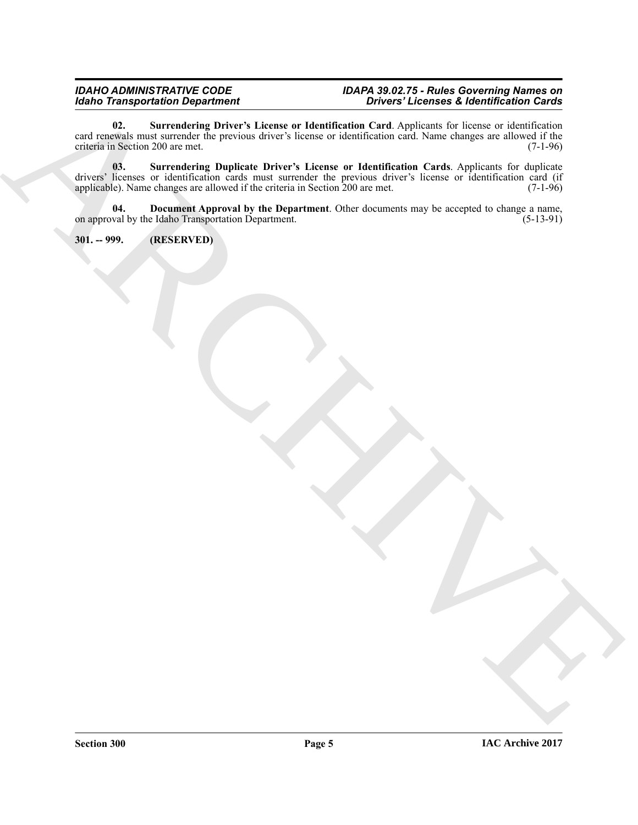#### *IDAHO ADMINISTRATIVE CODE IDAPA 39.02.75 - Rules Governing Names on Idaho Transportation Department Drivers' Licenses & Identification Cards*

<span id="page-4-3"></span><span id="page-4-2"></span>**02. Surrendering Driver's License or Identification Card**. Applicants for license or identification card renewals must surrender the previous driver's license or identification card. Name changes are allowed if the criteria in Section 200 are met. (7-1-96) criteria in Section 200 are met.

 $\frac{1}{2}$ <br>
and  $\frac{1}{2}$  and  $\frac{1}{2}$  and  $\frac{1}{2}$  and  $\frac{1}{2}$  and  $\frac{1}{2}$  and  $\frac{1}{2}$  and  $\frac{1}{2}$  and  $\frac{1}{2}$  and  $\frac{1}{2}$  and  $\frac{1}{2}$  and  $\frac{1}{2}$  and  $\frac{1}{2}$  and  $\frac{1}{2}$  and  $\frac{1}{2}$  and  $\frac{1}{2}$  **03. Surrendering Duplicate Driver's License or Identification Cards**. Applicants for duplicate drivers' licenses or identification cards must surrender the previous driver's license or identification card (if applicable). Name changes are allowed if the criteria in Section 200 are met. (7-1-96) applicable). Name changes are allowed if the criteria in Section 200 are met.

<span id="page-4-1"></span>**04. Document Approval by the Department**. Other documents may be accepted to change a name, val by the Idaho Transportation Department. (5-13-91) on approval by the Idaho Transportation Department.

<span id="page-4-0"></span>**301. -- 999. (RESERVED)**